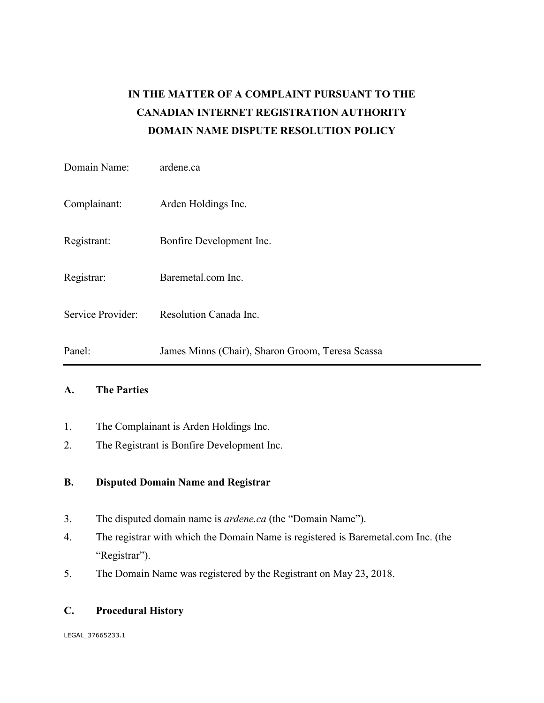# **IN THE MATTER OF A COMPLAINT PURSUANT TO THE CANADIAN INTERNET REGISTRATION AUTHORITY DOMAIN NAME DISPUTE RESOLUTION POLICY**

| Domain Name:      | ardene.ca                                        |
|-------------------|--------------------------------------------------|
| Complainant:      | Arden Holdings Inc.                              |
| Registrant:       | Bonfire Development Inc.                         |
| Registrar:        | Baremetal.com Inc.                               |
| Service Provider: | Resolution Canada Inc.                           |
| Panel:            | James Minns (Chair), Sharon Groom, Teresa Scassa |

## **A. The Parties**

- 1. The Complainant is Arden Holdings Inc.
- 2. The Registrant is Bonfire Development Inc.

## **B. Disputed Domain Name and Registrar**

- 3. The disputed domain name is *ardene.ca* (the "Domain Name").
- 4. The registrar with which the Domain Name is registered is Baremetal.com Inc. (the "Registrar").
- 5. The Domain Name was registered by the Registrant on May 23, 2018.

## **C. Procedural History**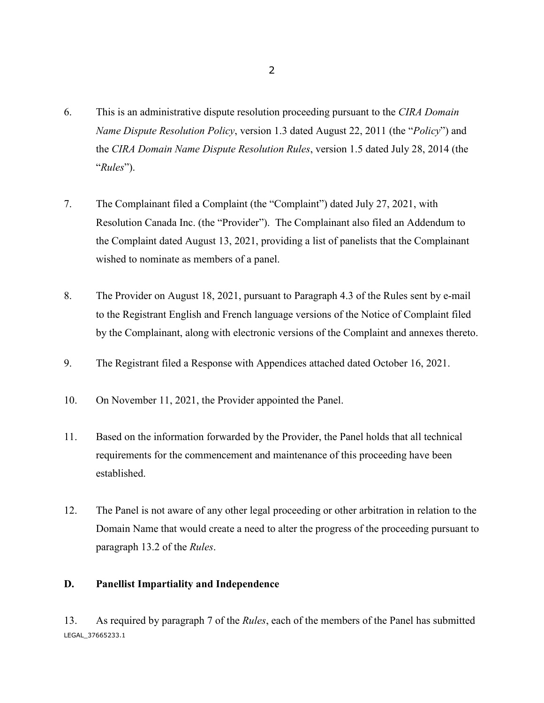- 6. This is an administrative dispute resolution proceeding pursuant to the *CIRA Domain Name Dispute Resolution Policy*, version 1.3 dated August 22, 2011 (the "*Policy*") and the *CIRA Domain Name Dispute Resolution Rules*, version 1.5 dated July 28, 2014 (the "*Rules*").
- 7. The Complainant filed a Complaint (the "Complaint") dated July 27, 2021, with Resolution Canada Inc. (the "Provider"). The Complainant also filed an Addendum to the Complaint dated August 13, 2021, providing a list of panelists that the Complainant wished to nominate as members of a panel.
- 8. The Provider on August 18, 2021, pursuant to Paragraph 4.3 of the Rules sent by e-mail to the Registrant English and French language versions of the Notice of Complaint filed by the Complainant, along with electronic versions of the Complaint and annexes thereto.
- 9. The Registrant filed a Response with Appendices attached dated October 16, 2021.
- 10. On November 11, 2021, the Provider appointed the Panel.
- 11. Based on the information forwarded by the Provider, the Panel holds that all technical requirements for the commencement and maintenance of this proceeding have been established.
- 12. The Panel is not aware of any other legal proceeding or other arbitration in relation to the Domain Name that would create a need to alter the progress of the proceeding pursuant to paragraph 13.2 of the *Rules*.

#### **D. Panellist Impartiality and Independence**

LEGAL\_37665233.1 13. As required by paragraph 7 of the *Rules*, each of the members of the Panel has submitted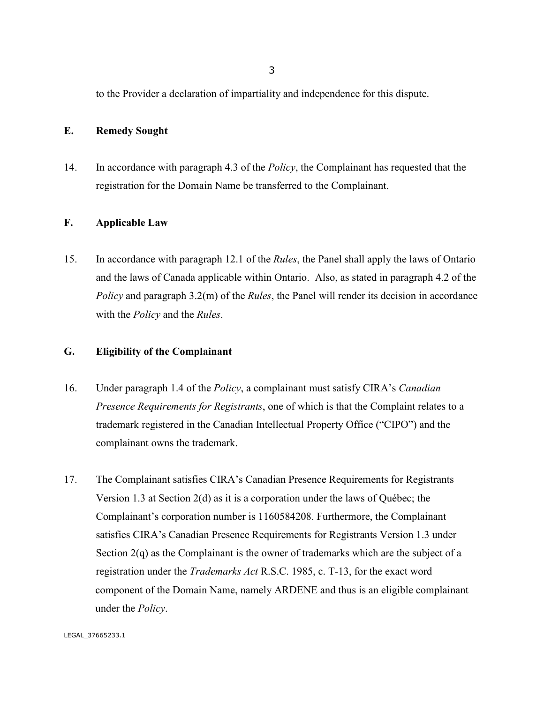to the Provider a declaration of impartiality and independence for this dispute.

### **E. Remedy Sought**

14. In accordance with paragraph 4.3 of the *Policy*, the Complainant has requested that the registration for the Domain Name be transferred to the Complainant.

#### **F. Applicable Law**

15. In accordance with paragraph 12.1 of the *Rules*, the Panel shall apply the laws of Ontario and the laws of Canada applicable within Ontario. Also, as stated in paragraph 4.2 of the *Policy* and paragraph 3.2(m) of the *Rules*, the Panel will render its decision in accordance with the *Policy* and the *Rules*.

### **G. Eligibility of the Complainant**

- 16. Under paragraph 1.4 of the *Policy*, a complainant must satisfy CIRA's *Canadian Presence Requirements for Registrants*, one of which is that the Complaint relates to a trademark registered in the Canadian Intellectual Property Office ("CIPO") and the complainant owns the trademark.
- 17. The Complainant satisfies CIRA's Canadian Presence Requirements for Registrants Version 1.3 at Section 2(d) as it is a corporation under the laws of Québec; the Complainant's corporation number is 1160584208. Furthermore, the Complainant satisfies CIRA's Canadian Presence Requirements for Registrants Version 1.3 under Section 2(q) as the Complainant is the owner of trademarks which are the subject of a registration under the *Trademarks Act* R.S.C. 1985, c. T-13, for the exact word component of the Domain Name, namely ARDENE and thus is an eligible complainant under the *Policy*.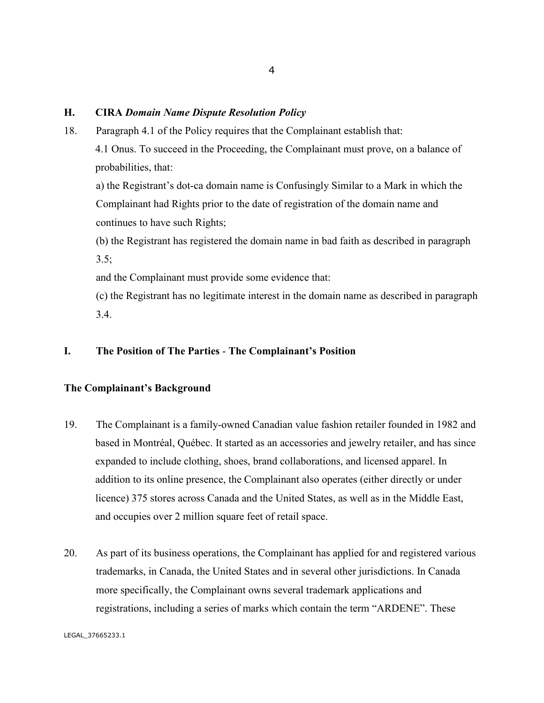#### **H. CIRA** *Domain Name Dispute Resolution Policy*

18. Paragraph 4.1 of the Policy requires that the Complainant establish that: 4.1 Onus. To succeed in the Proceeding, the Complainant must prove, on a balance of probabilities, that:

a) the Registrant's dot-ca domain name is Confusingly Similar to a Mark in which the Complainant had Rights prior to the date of registration of the domain name and continues to have such Rights;

(b) the Registrant has registered the domain name in bad faith as described in paragraph  $3.5;$ 

and the Complainant must provide some evidence that:

(c) the Registrant has no legitimate interest in the domain name as described in paragraph 3.4.

## **I. The Position of The Parties** - **The Complainant's Position**

#### **The Complainant's Background**

- 19. The Complainant is a family-owned Canadian value fashion retailer founded in 1982 and based in Montréal, Québec. It started as an accessories and jewelry retailer, and has since expanded to include clothing, shoes, brand collaborations, and licensed apparel. In addition to its online presence, the Complainant also operates (either directly or under licence) 375 stores across Canada and the United States, as well as in the Middle East, and occupies over 2 million square feet of retail space.
- 20. As part of its business operations, the Complainant has applied for and registered various trademarks, in Canada, the United States and in several other jurisdictions. In Canada more specifically, the Complainant owns several trademark applications and registrations, including a series of marks which contain the term "ARDENE". These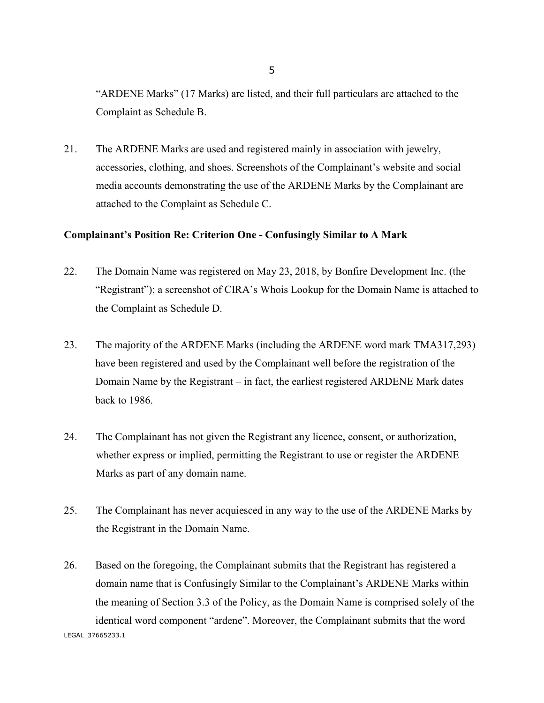"ARDENE Marks" (17 Marks) are listed, and their full particulars are attached to the Complaint as Schedule B.

21. The ARDENE Marks are used and registered mainly in association with jewelry, accessories, clothing, and shoes. Screenshots of the Complainant's website and social media accounts demonstrating the use of the ARDENE Marks by the Complainant are attached to the Complaint as Schedule C.

#### **Complainant's Position Re: Criterion One - Confusingly Similar to A Mark**

- 22. The Domain Name was registered on May 23, 2018, by Bonfire Development Inc. (the "Registrant"); a screenshot of CIRA's Whois Lookup for the Domain Name is attached to the Complaint as Schedule D.
- 23. The majority of the ARDENE Marks (including the ARDENE word mark TMA317,293) have been registered and used by the Complainant well before the registration of the Domain Name by the Registrant – in fact, the earliest registered ARDENE Mark dates back to 1986.
- 24. The Complainant has not given the Registrant any licence, consent, or authorization, whether express or implied, permitting the Registrant to use or register the ARDENE Marks as part of any domain name.
- 25. The Complainant has never acquiesced in any way to the use of the ARDENE Marks by the Registrant in the Domain Name.
- LEGAL\_37665233.1 26. Based on the foregoing, the Complainant submits that the Registrant has registered a domain name that is Confusingly Similar to the Complainant's ARDENE Marks within the meaning of Section 3.3 of the Policy, as the Domain Name is comprised solely of the identical word component "ardene". Moreover, the Complainant submits that the word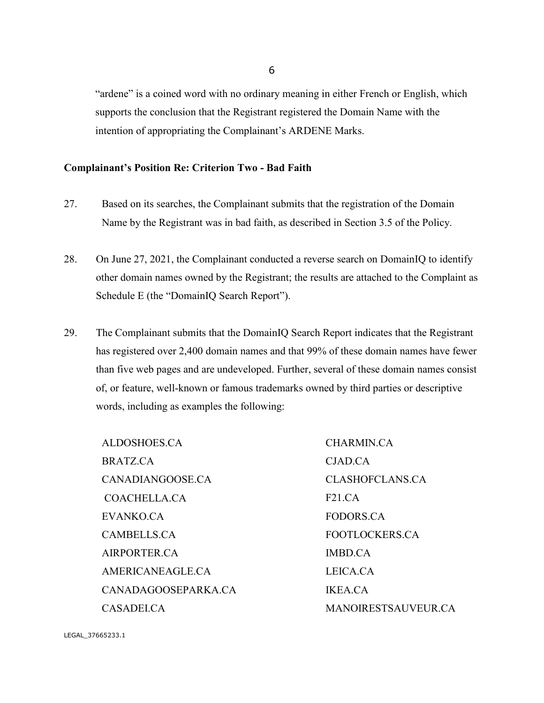"ardene" is a coined word with no ordinary meaning in either French or English, which supports the conclusion that the Registrant registered the Domain Name with the intention of appropriating the Complainant's ARDENE Marks.

#### **Complainant's Position Re: Criterion Two - Bad Faith**

- 27. Based on its searches, the Complainant submits that the registration of the Domain Name by the Registrant was in bad faith, as described in Section 3.5 of the Policy.
- 28. On June 27, 2021, the Complainant conducted a reverse search on DomainIQ to identify other domain names owned by the Registrant; the results are attached to the Complaint as Schedule E (the "DomainIQ Search Report").
- 29. The Complainant submits that the DomainIQ Search Report indicates that the Registrant has registered over 2,400 domain names and that 99% of these domain names have fewer than five web pages and are undeveloped. Further, several of these domain names consist of, or feature, well-known or famous trademarks owned by third parties or descriptive words, including as examples the following:

ALDOSHOES.CA BRATZ.CA CANADIANGOOSE.CA COACHELLA.CA EVANKO.CA CAMBELLS.CA AIRPORTER.CA AMERICANEAGLE.CA CANADAGOOSEPARKA.CA CASADEI.CA

CHARMIN.CA CJAD.CA CLASHOFCLANS.CA F21.CA FODORS.CA FOOTLOCKERS.CA IMBD.CA LEICA.CA IKEA.CA MANOIRESTSAUVEUR.CA

LEGAL\_37665233.1

6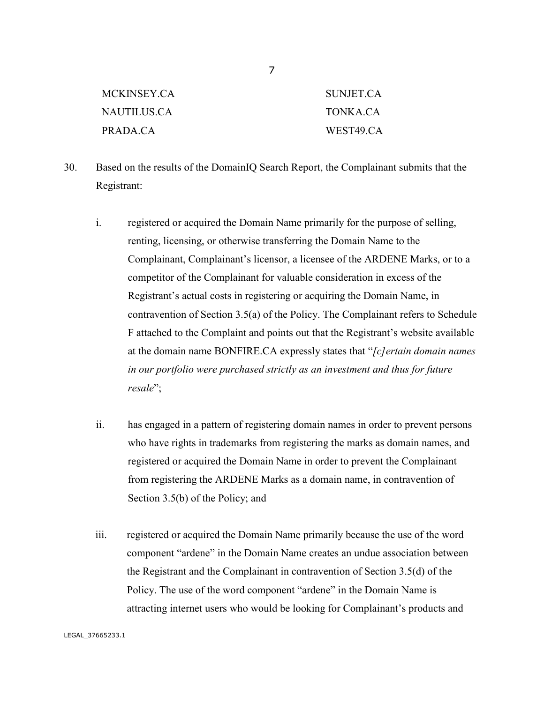| MCKINSEY.CA_ | SUNJET.CA |
|--------------|-----------|
| NAUTILUS.CA– | TONKA CA  |
| PRADA.CA     | WEST49.CA |

- 30. Based on the results of the DomainIQ Search Report, the Complainant submits that the Registrant:
	- i. registered or acquired the Domain Name primarily for the purpose of selling, renting, licensing, or otherwise transferring the Domain Name to the Complainant, Complainant's licensor, a licensee of the ARDENE Marks, or to a competitor of the Complainant for valuable consideration in excess of the Registrant's actual costs in registering or acquiring the Domain Name, in contravention of Section 3.5(a) of the Policy. The Complainant refers to Schedule F attached to the Complaint and points out that the Registrant's website available at the domain name BONFIRE.CA expressly states that "*[c]ertain domain names in our portfolio were purchased strictly as an investment and thus for future resale*";
	- ii. has engaged in a pattern of registering domain names in order to prevent persons who have rights in trademarks from registering the marks as domain names, and registered or acquired the Domain Name in order to prevent the Complainant from registering the ARDENE Marks as a domain name, in contravention of Section 3.5(b) of the Policy; and
	- iii. registered or acquired the Domain Name primarily because the use of the word component "ardene" in the Domain Name creates an undue association between the Registrant and the Complainant in contravention of Section 3.5(d) of the Policy. The use of the word component "ardene" in the Domain Name is attracting internet users who would be looking for Complainant's products and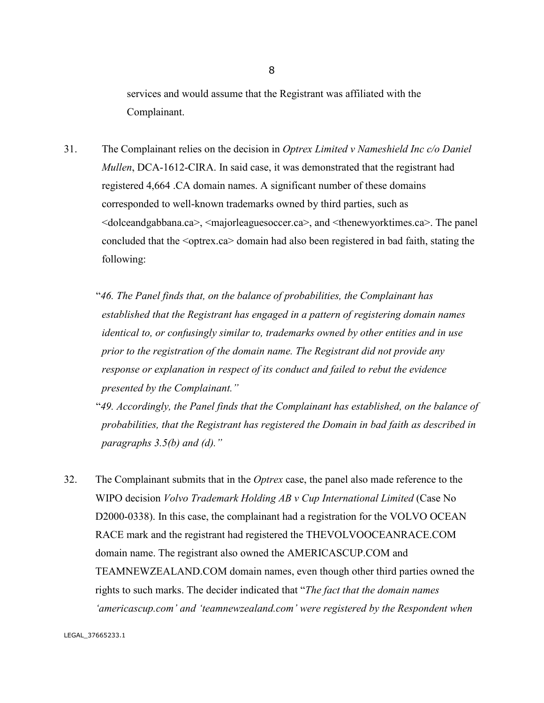services and would assume that the Registrant was affiliated with the Complainant.

- 31. The Complainant relies on the decision in *Optrex Limited v Nameshield Inc c/o Daniel Mullen*, DCA-1612-CIRA. In said case, it was demonstrated that the registrant had registered 4,664 .CA domain names. A significant number of these domains corresponded to well-known trademarks owned by third parties, such as <dolceandgabbana.ca>, <majorleaguesoccer.ca>, and <thenewyorktimes.ca>. The panel concluded that the <optrex.ca> domain had also been registered in bad faith, stating the following:
	- "*46. The Panel finds that, on the balance of probabilities, the Complainant has established that the Registrant has engaged in a pattern of registering domain names identical to, or confusingly similar to, trademarks owned by other entities and in use prior to the registration of the domain name. The Registrant did not provide any response or explanation in respect of its conduct and failed to rebut the evidence presented by the Complainant."*

"*49. Accordingly, the Panel finds that the Complainant has established, on the balance of probabilities, that the Registrant has registered the Domain in bad faith as described in paragraphs 3.5(b) and (d)."*

32. The Complainant submits that in the *Optrex* case, the panel also made reference to the WIPO decision *Volvo Trademark Holding AB v Cup International Limited* (Case No D2000-0338). In this case, the complainant had a registration for the VOLVO OCEAN RACE mark and the registrant had registered the THEVOLVOOCEANRACE.COM domain name. The registrant also owned the AMERICASCUP.COM and TEAMNEWZEALAND.COM domain names, even though other third parties owned the rights to such marks. The decider indicated that "*The fact that the domain names 'americascup.com' and 'teamnewzealand.com' were registered by the Respondent when*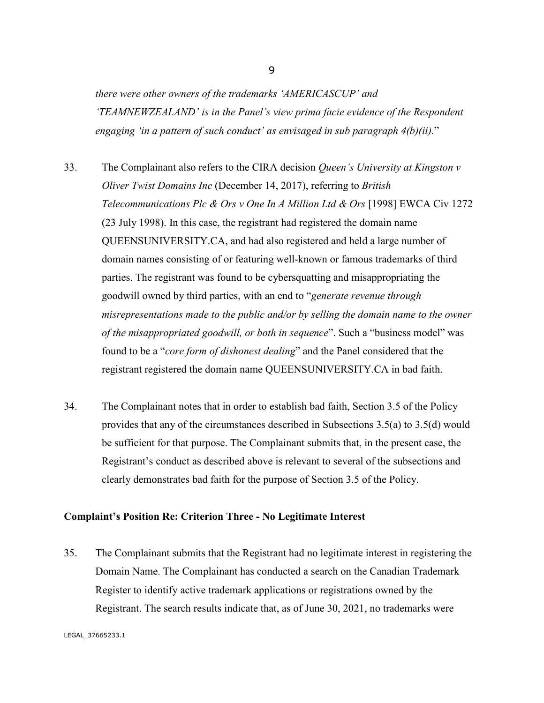*there were other owners of the trademarks 'AMERICASCUP' and 'TEAMNEWZEALAND' is in the Panel's view prima facie evidence of the Respondent engaging 'in a pattern of such conduct' as envisaged in sub paragraph 4(b)(ii).*"

- 33. The Complainant also refers to the CIRA decision *Queen's University at Kingston v Oliver Twist Domains Inc* (December 14, 2017), referring to *British Telecommunications Plc & Ors v One In A Million Ltd & Ors* [1998] EWCA Civ 1272 (23 July 1998). In this case, the registrant had registered the domain name QUEENSUNIVERSITY.CA, and had also registered and held a large number of domain names consisting of or featuring well-known or famous trademarks of third parties. The registrant was found to be cybersquatting and misappropriating the goodwill owned by third parties, with an end to "*generate revenue through misrepresentations made to the public and/or by selling the domain name to the owner of the misappropriated goodwill, or both in sequence*". Such a "business model" was found to be a "*core form of dishonest dealing*" and the Panel considered that the registrant registered the domain name QUEENSUNIVERSITY.CA in bad faith.
- 34. The Complainant notes that in order to establish bad faith, Section 3.5 of the Policy provides that any of the circumstances described in Subsections 3.5(a) to 3.5(d) would be sufficient for that purpose. The Complainant submits that, in the present case, the Registrant's conduct as described above is relevant to several of the subsections and clearly demonstrates bad faith for the purpose of Section 3.5 of the Policy.

#### **Complaint's Position Re: Criterion Three - No Legitimate Interest**

35. The Complainant submits that the Registrant had no legitimate interest in registering the Domain Name. The Complainant has conducted a search on the Canadian Trademark Register to identify active trademark applications or registrations owned by the Registrant. The search results indicate that, as of June 30, 2021, no trademarks were

9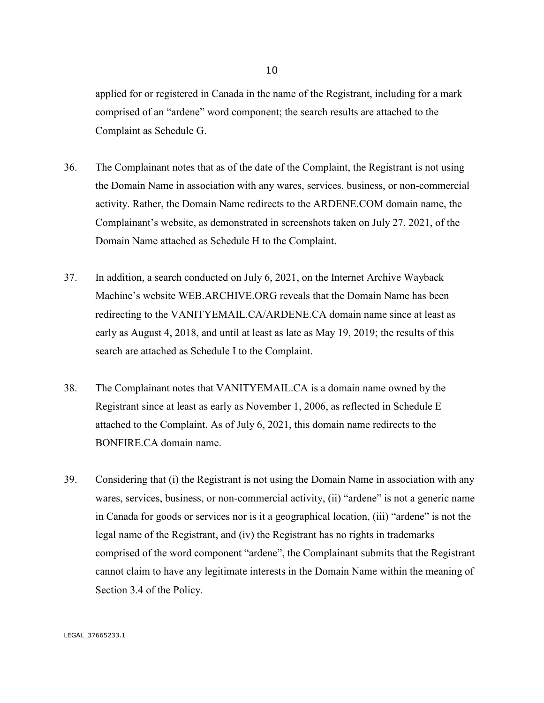applied for or registered in Canada in the name of the Registrant, including for a mark comprised of an "ardene" word component; the search results are attached to the Complaint as Schedule G.

- 36. The Complainant notes that as of the date of the Complaint, the Registrant is not using the Domain Name in association with any wares, services, business, or non-commercial activity. Rather, the Domain Name redirects to the ARDENE.COM domain name, the Complainant's website, as demonstrated in screenshots taken on July 27, 2021, of the Domain Name attached as Schedule H to the Complaint.
- 37. In addition, a search conducted on July 6, 2021, on the Internet Archive Wayback Machine's website WEB.ARCHIVE.ORG reveals that the Domain Name has been redirecting to the VANITYEMAIL.CA/ARDENE.CA domain name since at least as early as August 4, 2018, and until at least as late as May 19, 2019; the results of this search are attached as Schedule I to the Complaint.
- 38. The Complainant notes that VANITYEMAIL.CA is a domain name owned by the Registrant since at least as early as November 1, 2006, as reflected in Schedule E attached to the Complaint. As of July 6, 2021, this domain name redirects to the BONFIRE.CA domain name.
- 39. Considering that (i) the Registrant is not using the Domain Name in association with any wares, services, business, or non-commercial activity, (ii) "ardene" is not a generic name in Canada for goods or services nor is it a geographical location, (iii) "ardene" is not the legal name of the Registrant, and (iv) the Registrant has no rights in trademarks comprised of the word component "ardene", the Complainant submits that the Registrant cannot claim to have any legitimate interests in the Domain Name within the meaning of Section 3.4 of the Policy.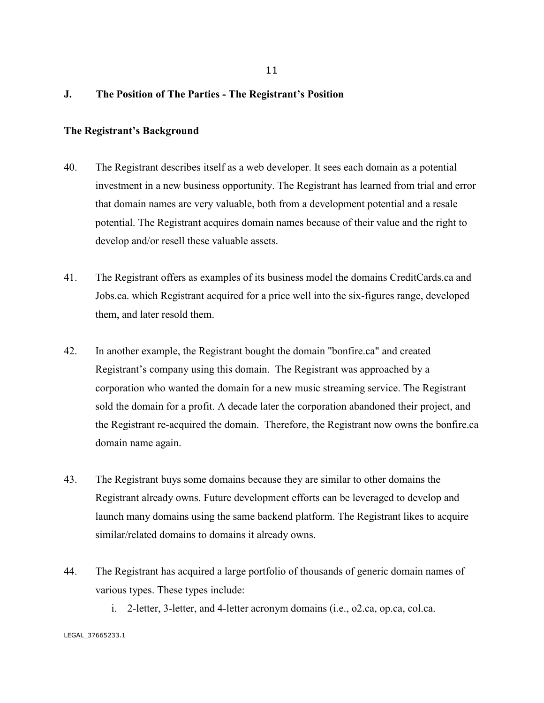#### **J. The Position of The Parties - The Registrant's Position**

#### **The Registrant's Background**

- 40. The Registrant describes itself as a web developer. It sees each domain as a potential investment in a new business opportunity. The Registrant has learned from trial and error that domain names are very valuable, both from a development potential and a resale potential. The Registrant acquires domain names because of their value and the right to develop and/or resell these valuable assets.
- 41. The Registrant offers as examples of its business model the domains CreditCards.ca and Jobs.ca. which Registrant acquired for a price well into the six-figures range, developed them, and later resold them.
- 42. In another example, the Registrant bought the domain "bonfire.ca" and created Registrant's company using this domain. The Registrant was approached by a corporation who wanted the domain for a new music streaming service. The Registrant sold the domain for a profit. A decade later the corporation abandoned their project, and the Registrant re-acquired the domain. Therefore, the Registrant now owns the bonfire.ca domain name again.
- 43. The Registrant buys some domains because they are similar to other domains the Registrant already owns. Future development efforts can be leveraged to develop and launch many domains using the same backend platform. The Registrant likes to acquire similar/related domains to domains it already owns.
- 44. The Registrant has acquired a large portfolio of thousands of generic domain names of various types. These types include:
	- i. 2-letter, 3-letter, and 4-letter acronym domains (i.e., o2.ca, op.ca, col.ca.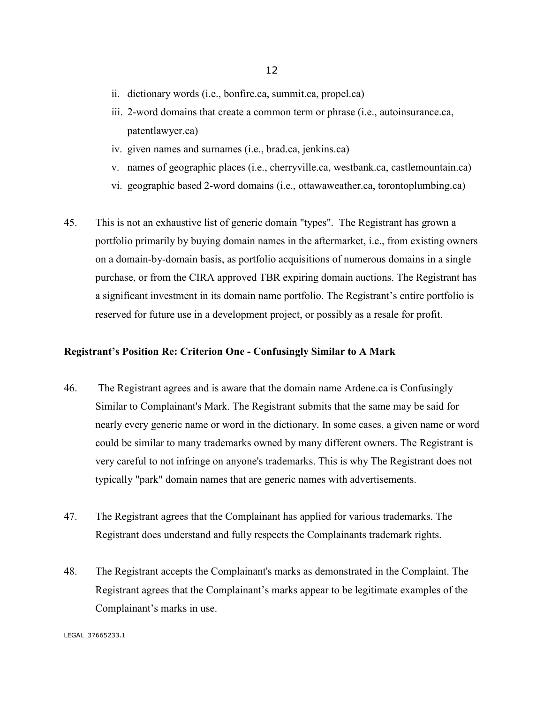- ii. dictionary words (i.e., bonfire.ca, summit.ca, propel.ca)
- iii. 2-word domains that create a common term or phrase (i.e., autoinsurance.ca, patentlawyer.ca)
- iv. given names and surnames (i.e., brad.ca, jenkins.ca)
- v. names of geographic places (i.e., cherryville.ca, westbank.ca, castlemountain.ca)
- vi. geographic based 2-word domains (i.e., ottawaweather.ca, torontoplumbing.ca)
- 45. This is not an exhaustive list of generic domain "types". The Registrant has grown a portfolio primarily by buying domain names in the aftermarket, i.e., from existing owners on a domain-by-domain basis, as portfolio acquisitions of numerous domains in a single purchase, or from the CIRA approved TBR expiring domain auctions. The Registrant has a significant investment in its domain name portfolio. The Registrant's entire portfolio is reserved for future use in a development project, or possibly as a resale for profit.

#### **Registrant's Position Re: Criterion One - Confusingly Similar to A Mark**

- 46. The Registrant agrees and is aware that the domain name Ardene.ca is Confusingly Similar to Complainant's Mark. The Registrant submits that the same may be said for nearly every generic name or word in the dictionary. In some cases, a given name or word could be similar to many trademarks owned by many different owners. The Registrant is very careful to not infringe on anyone's trademarks. This is why The Registrant does not typically "park" domain names that are generic names with advertisements.
- 47. The Registrant agrees that the Complainant has applied for various trademarks. The Registrant does understand and fully respects the Complainants trademark rights.
- 48. The Registrant accepts the Complainant's marks as demonstrated in the Complaint. The Registrant agrees that the Complainant's marks appear to be legitimate examples of the Complainant's marks in use.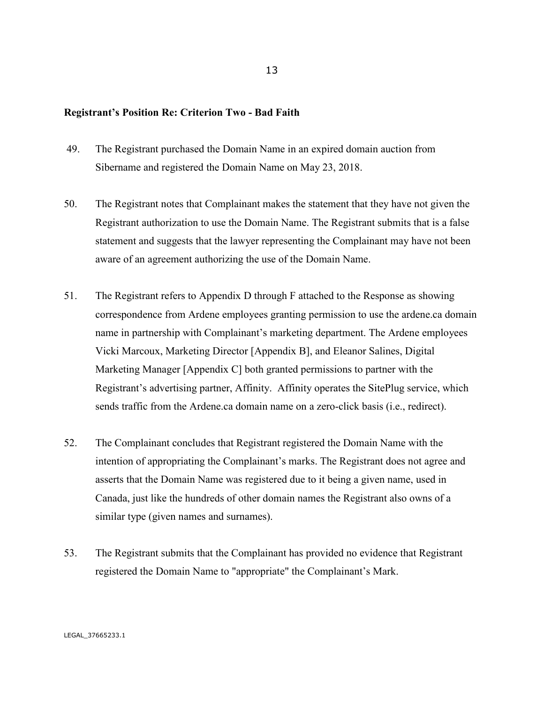#### **Registrant's Position Re: Criterion Two - Bad Faith**

- 49. The Registrant purchased the Domain Name in an expired domain auction from Sibername and registered the Domain Name on May 23, 2018.
- 50. The Registrant notes that Complainant makes the statement that they have not given the Registrant authorization to use the Domain Name. The Registrant submits that is a false statement and suggests that the lawyer representing the Complainant may have not been aware of an agreement authorizing the use of the Domain Name.
- 51. The Registrant refers to Appendix D through F attached to the Response as showing correspondence from Ardene employees granting permission to use the ardene.ca domain name in partnership with Complainant's marketing department. The Ardene employees Vicki Marcoux, Marketing Director [Appendix B], and Eleanor Salines, Digital Marketing Manager [Appendix C] both granted permissions to partner with the Registrant's advertising partner, Affinity. Affinity operates the SitePlug service, which sends traffic from the Ardene.ca domain name on a zero-click basis (i.e., redirect).
- 52. The Complainant concludes that Registrant registered the Domain Name with the intention of appropriating the Complainant's marks. The Registrant does not agree and asserts that the Domain Name was registered due to it being a given name, used in Canada, just like the hundreds of other domain names the Registrant also owns of a similar type (given names and surnames).
- 53. The Registrant submits that the Complainant has provided no evidence that Registrant registered the Domain Name to "appropriate" the Complainant's Mark.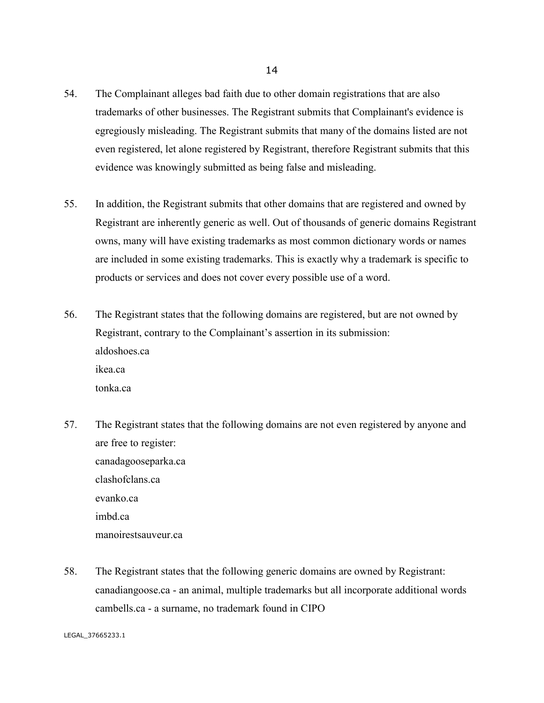- 54. The Complainant alleges bad faith due to other domain registrations that are also trademarks of other businesses. The Registrant submits that Complainant's evidence is egregiously misleading. The Registrant submits that many of the domains listed are not even registered, let alone registered by Registrant, therefore Registrant submits that this evidence was knowingly submitted as being false and misleading.
- 55. In addition, the Registrant submits that other domains that are registered and owned by Registrant are inherently generic as well. Out of thousands of generic domains Registrant owns, many will have existing trademarks as most common dictionary words or names are included in some existing trademarks. This is exactly why a trademark is specific to products or services and does not cover every possible use of a word.
- 56. The Registrant states that the following domains are registered, but are not owned by Registrant, contrary to the Complainant's assertion in its submission: aldoshoes.ca ikea.ca tonka.ca
- 57. The Registrant states that the following domains are not even registered by anyone and are free to register: canadagooseparka.ca clashofclans.ca evanko.ca imbd.ca manoirestsauveur.ca
- 58. The Registrant states that the following generic domains are owned by Registrant: canadiangoose.ca - an animal, multiple trademarks but all incorporate additional words cambells.ca - a surname, no trademark found in CIPO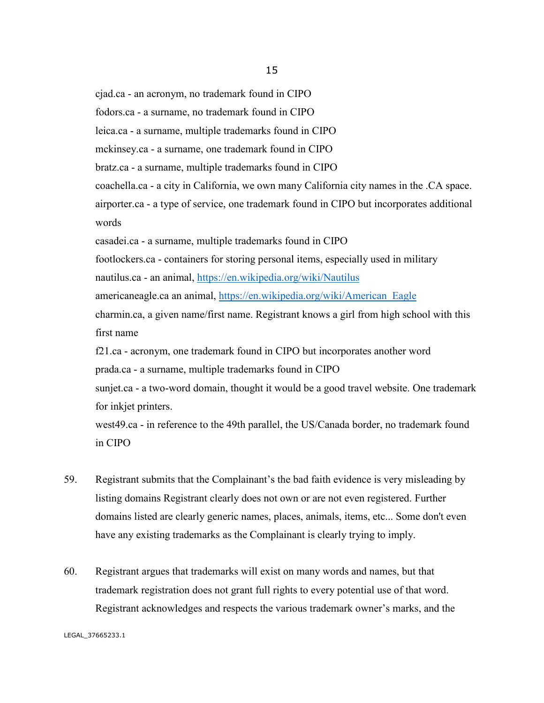cjad.ca - an acronym, no trademark found in CIPO fodors.ca - a surname, no trademark found in CIPO leica.ca - a surname, multiple trademarks found in CIPO mckinsey.ca - a surname, one trademark found in CIPO bratz.ca - a surname, multiple trademarks found in CIPO coachella.ca - a city in California, we own many California city names in the .CA space. airporter.ca - a type of service, one trademark found in CIPO but incorporates additional words casadei.ca - a surname, multiple trademarks found in CIPO footlockers.ca - containers for storing personal items, especially used in military nautilus.ca - an animal,<https://en.wikipedia.org/wiki/Nautilus> americaneagle.ca an animal, [https://en.wikipedia.org/wiki/American\\_Eagle](https://en.wikipedia.org/wiki/American_Eagle) charmin.ca, a given name/first name. Registrant knows a girl from high school with this first name f21.ca - acronym, one trademark found in CIPO but incorporates another word

prada.ca - a surname, multiple trademarks found in CIPO

sunjet.ca - a two-word domain, thought it would be a good travel website. One trademark for inkjet printers.

west49.ca - in reference to the 49th parallel, the US/Canada border, no trademark found in CIPO

- 59. Registrant submits that the Complainant's the bad faith evidence is very misleading by listing domains Registrant clearly does not own or are not even registered. Further domains listed are clearly generic names, places, animals, items, etc... Some don't even have any existing trademarks as the Complainant is clearly trying to imply.
- 60. Registrant argues that trademarks will exist on many words and names, but that trademark registration does not grant full rights to every potential use of that word. Registrant acknowledges and respects the various trademark owner's marks, and the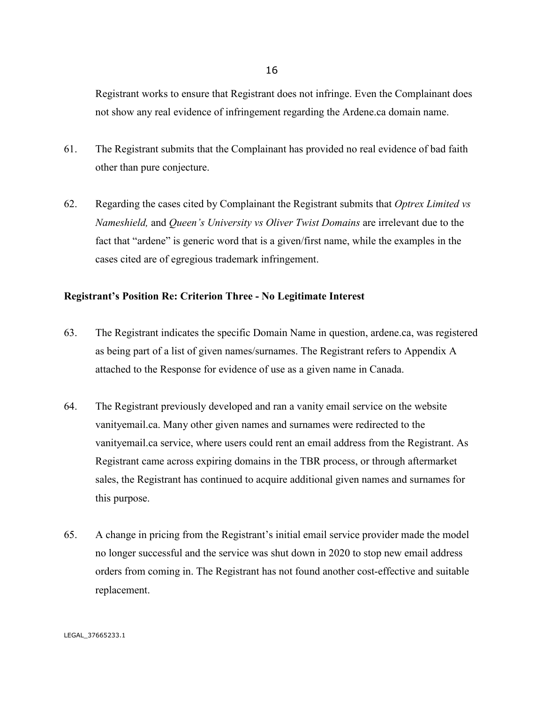Registrant works to ensure that Registrant does not infringe. Even the Complainant does not show any real evidence of infringement regarding the Ardene.ca domain name.

- 61. The Registrant submits that the Complainant has provided no real evidence of bad faith other than pure conjecture.
- 62. Regarding the cases cited by Complainant the Registrant submits that *Optrex Limited vs Nameshield,* and *Queen's University vs Oliver Twist Domains* are irrelevant due to the fact that "ardene" is generic word that is a given/first name, while the examples in the cases cited are of egregious trademark infringement.

#### **Registrant's Position Re: Criterion Three - No Legitimate Interest**

- 63. The Registrant indicates the specific Domain Name in question, ardene.ca, was registered as being part of a list of given names/surnames. The Registrant refers to Appendix A attached to the Response for evidence of use as a given name in Canada.
- 64. The Registrant previously developed and ran a vanity email service on the website vanityemail.ca. Many other given names and surnames were redirected to the vanityemail.ca service, where users could rent an email address from the Registrant. As Registrant came across expiring domains in the TBR process, or through aftermarket sales, the Registrant has continued to acquire additional given names and surnames for this purpose.
- 65. A change in pricing from the Registrant's initial email service provider made the model no longer successful and the service was shut down in 2020 to stop new email address orders from coming in. The Registrant has not found another cost-effective and suitable replacement.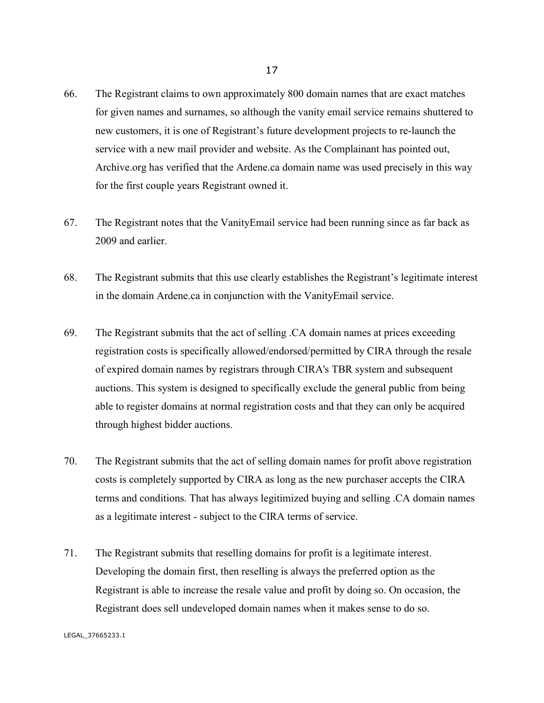- 66. The Registrant claims to own approximately 800 domain names that are exact matches for given names and surnames, so although the vanity email service remains shuttered to new customers, it is one of Registrant's future development projects to re-launch the service with a new mail provider and website. As the Complainant has pointed out, Archive.org has verified that the Ardene.ca domain name was used precisely in this way for the first couple years Registrant owned it.
- 67. The Registrant notes that the VanityEmail service had been running since as far back as 2009 and earlier.
- 68. The Registrant submits that this use clearly establishes the Registrant's legitimate interest in the domain Ardene.ca in conjunction with the VanityEmail service.
- 69. The Registrant submits that the act of selling .CA domain names at prices exceeding registration costs is specifically allowed/endorsed/permitted by CIRA through the resale of expired domain names by registrars through CIRA's TBR system and subsequent auctions. This system is designed to specifically exclude the general public from being able to register domains at normal registration costs and that they can only be acquired through highest bidder auctions.
- 70. The Registrant submits that the act of selling domain names for profit above registration costs is completely supported by CIRA as long as the new purchaser accepts the CIRA terms and conditions. That has always legitimized buying and selling .CA domain names as a legitimate interest - subject to the CIRA terms of service.
- 71. The Registrant submits that reselling domains for profit is a legitimate interest. Developing the domain first, then reselling is always the preferred option as the Registrant is able to increase the resale value and profit by doing so. On occasion, the Registrant does sell undeveloped domain names when it makes sense to do so.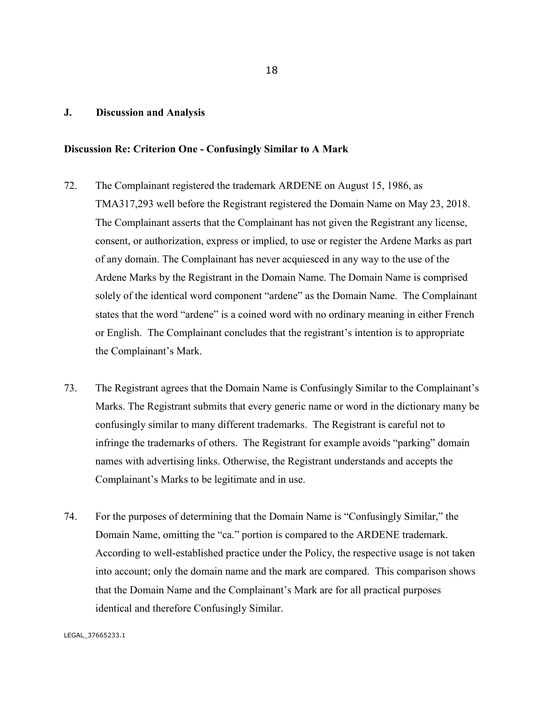#### **J. Discussion and Analysis**

#### **Discussion Re: Criterion One - Confusingly Similar to A Mark**

- 72. The Complainant registered the trademark ARDENE on August 15, 1986, as TMA317,293 well before the Registrant registered the Domain Name on May 23, 2018. The Complainant asserts that the Complainant has not given the Registrant any license, consent, or authorization, express or implied, to use or register the Ardene Marks as part of any domain. The Complainant has never acquiesced in any way to the use of the Ardene Marks by the Registrant in the Domain Name. The Domain Name is comprised solely of the identical word component "ardene" as the Domain Name. The Complainant states that the word "ardene" is a coined word with no ordinary meaning in either French or English. The Complainant concludes that the registrant's intention is to appropriate the Complainant's Mark.
- 73. The Registrant agrees that the Domain Name is Confusingly Similar to the Complainant's Marks. The Registrant submits that every generic name or word in the dictionary many be confusingly similar to many different trademarks. The Registrant is careful not to infringe the trademarks of others. The Registrant for example avoids "parking" domain names with advertising links. Otherwise, the Registrant understands and accepts the Complainant's Marks to be legitimate and in use.
- 74. For the purposes of determining that the Domain Name is "Confusingly Similar," the Domain Name, omitting the "ca." portion is compared to the ARDENE trademark. According to well-established practice under the Policy, the respective usage is not taken into account; only the domain name and the mark are compared. This comparison shows that the Domain Name and the Complainant's Mark are for all practical purposes identical and therefore Confusingly Similar.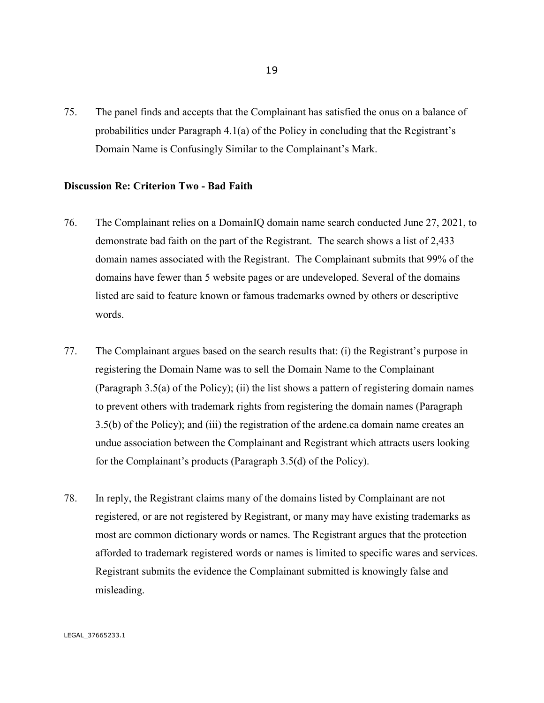75. The panel finds and accepts that the Complainant has satisfied the onus on a balance of probabilities under Paragraph 4.1(a) of the Policy in concluding that the Registrant's Domain Name is Confusingly Similar to the Complainant's Mark.

#### **Discussion Re: Criterion Two - Bad Faith**

- 76. The Complainant relies on a DomainIQ domain name search conducted June 27, 2021, to demonstrate bad faith on the part of the Registrant. The search shows a list of 2,433 domain names associated with the Registrant. The Complainant submits that 99% of the domains have fewer than 5 website pages or are undeveloped. Several of the domains listed are said to feature known or famous trademarks owned by others or descriptive words.
- 77. The Complainant argues based on the search results that: (i) the Registrant's purpose in registering the Domain Name was to sell the Domain Name to the Complainant (Paragraph 3.5(a) of the Policy); (ii) the list shows a pattern of registering domain names to prevent others with trademark rights from registering the domain names (Paragraph 3.5(b) of the Policy); and (iii) the registration of the ardene.ca domain name creates an undue association between the Complainant and Registrant which attracts users looking for the Complainant's products (Paragraph 3.5(d) of the Policy).
- 78. In reply, the Registrant claims many of the domains listed by Complainant are not registered, or are not registered by Registrant, or many may have existing trademarks as most are common dictionary words or names. The Registrant argues that the protection afforded to trademark registered words or names is limited to specific wares and services. Registrant submits the evidence the Complainant submitted is knowingly false and misleading.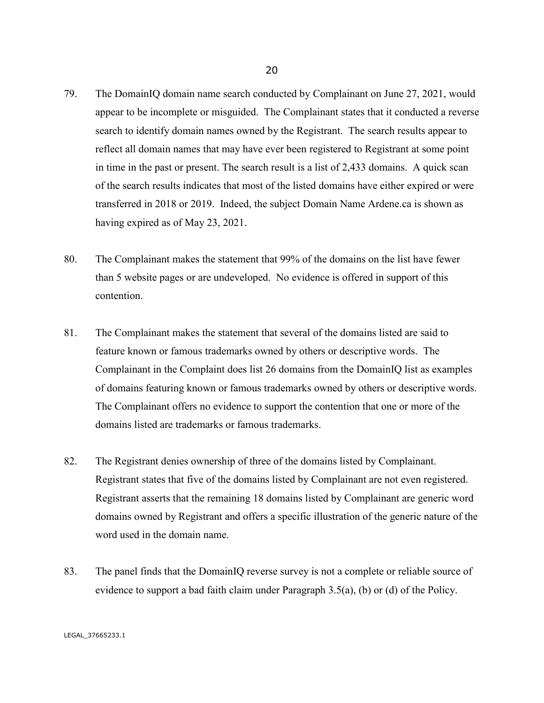- 79. The DomainIQ domain name search conducted by Complainant on June 27, 2021, would appear to be incomplete or misguided. The Complainant states that it conducted a reverse search to identify domain names owned by the Registrant. The search results appear to reflect all domain names that may have ever been registered to Registrant at some point in time in the past or present. The search result is a list of 2,433 domains. A quick scan of the search results indicates that most of the listed domains have either expired or were transferred in 2018 or 2019. Indeed, the subject Domain Name Ardene.ca is shown as having expired as of May 23, 2021.
- 80. The Complainant makes the statement that 99% of the domains on the list have fewer than 5 website pages or are undeveloped. No evidence is offered in support of this contention.
- 81. The Complainant makes the statement that several of the domains listed are said to feature known or famous trademarks owned by others or descriptive words. The Complainant in the Complaint does list 26 domains from the DomainIQ list as examples of domains featuring known or famous trademarks owned by others or descriptive words. The Complainant offers no evidence to support the contention that one or more of the domains listed are trademarks or famous trademarks.
- 82. The Registrant denies ownership of three of the domains listed by Complainant. Registrant states that five of the domains listed by Complainant are not even registered. Registrant asserts that the remaining 18 domains listed by Complainant are generic word domains owned by Registrant and offers a specific illustration of the generic nature of the word used in the domain name.
- 83. The panel finds that the DomainIQ reverse survey is not a complete or reliable source of evidence to support a bad faith claim under Paragraph 3.5(a), (b) or (d) of the Policy.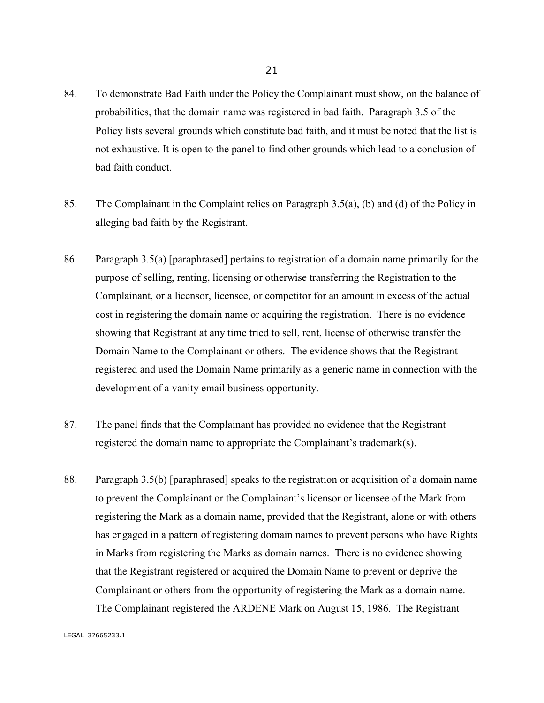- 84. To demonstrate Bad Faith under the Policy the Complainant must show, on the balance of probabilities, that the domain name was registered in bad faith. Paragraph 3.5 of the Policy lists several grounds which constitute bad faith, and it must be noted that the list is not exhaustive. It is open to the panel to find other grounds which lead to a conclusion of bad faith conduct.
- 85. The Complainant in the Complaint relies on Paragraph 3.5(a), (b) and (d) of the Policy in alleging bad faith by the Registrant.
- 86. Paragraph 3.5(a) [paraphrased] pertains to registration of a domain name primarily for the purpose of selling, renting, licensing or otherwise transferring the Registration to the Complainant, or a licensor, licensee, or competitor for an amount in excess of the actual cost in registering the domain name or acquiring the registration. There is no evidence showing that Registrant at any time tried to sell, rent, license of otherwise transfer the Domain Name to the Complainant or others. The evidence shows that the Registrant registered and used the Domain Name primarily as a generic name in connection with the development of a vanity email business opportunity.
- 87. The panel finds that the Complainant has provided no evidence that the Registrant registered the domain name to appropriate the Complainant's trademark(s).
- 88. Paragraph 3.5(b) [paraphrased] speaks to the registration or acquisition of a domain name to prevent the Complainant or the Complainant's licensor or licensee of the Mark from registering the Mark as a domain name, provided that the Registrant, alone or with others has engaged in a pattern of registering domain names to prevent persons who have Rights in Marks from registering the Marks as domain names. There is no evidence showing that the Registrant registered or acquired the Domain Name to prevent or deprive the Complainant or others from the opportunity of registering the Mark as a domain name. The Complainant registered the ARDENE Mark on August 15, 1986. The Registrant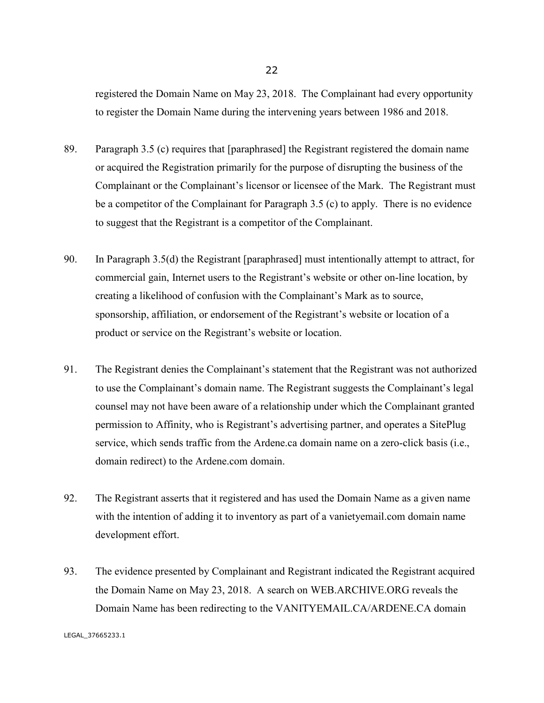registered the Domain Name on May 23, 2018. The Complainant had every opportunity to register the Domain Name during the intervening years between 1986 and 2018.

- 89. Paragraph 3.5 (c) requires that [paraphrased] the Registrant registered the domain name or acquired the Registration primarily for the purpose of disrupting the business of the Complainant or the Complainant's licensor or licensee of the Mark. The Registrant must be a competitor of the Complainant for Paragraph 3.5 (c) to apply. There is no evidence to suggest that the Registrant is a competitor of the Complainant.
- 90. In Paragraph 3.5(d) the Registrant [paraphrased] must intentionally attempt to attract, for commercial gain, Internet users to the Registrant's website or other on-line location, by creating a likelihood of confusion with the Complainant's Mark as to source, sponsorship, affiliation, or endorsement of the Registrant's website or location of a product or service on the Registrant's website or location.
- 91. The Registrant denies the Complainant's statement that the Registrant was not authorized to use the Complainant's domain name. The Registrant suggests the Complainant's legal counsel may not have been aware of a relationship under which the Complainant granted permission to Affinity, who is Registrant's advertising partner, and operates a SitePlug service, which sends traffic from the Ardene.ca domain name on a zero-click basis (i.e., domain redirect) to the Ardene.com domain.
- 92. The Registrant asserts that it registered and has used the Domain Name as a given name with the intention of adding it to inventory as part of a vanietyemail.com domain name development effort.
- 93. The evidence presented by Complainant and Registrant indicated the Registrant acquired the Domain Name on May 23, 2018. A search on WEB.ARCHIVE.ORG reveals the Domain Name has been redirecting to the VANITYEMAIL.CA/ARDENE.CA domain

LEGAL\_37665233.1

22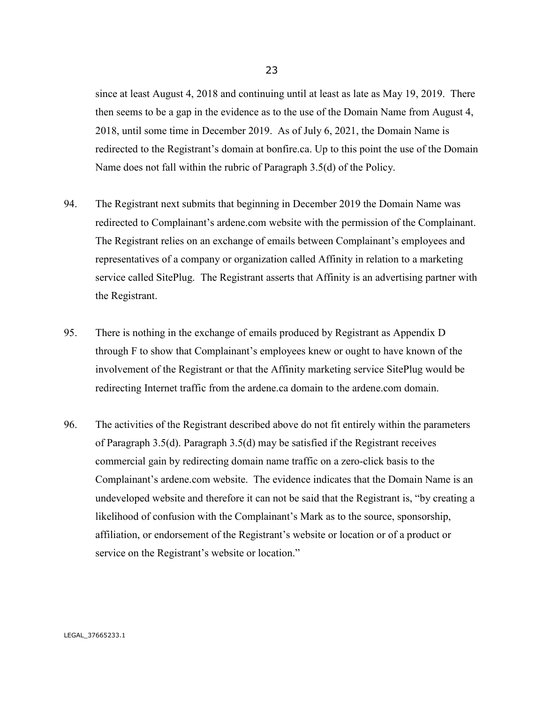since at least August 4, 2018 and continuing until at least as late as May 19, 2019. There then seems to be a gap in the evidence as to the use of the Domain Name from August 4, 2018, until some time in December 2019. As of July 6, 2021, the Domain Name is redirected to the Registrant's domain at bonfire.ca. Up to this point the use of the Domain Name does not fall within the rubric of Paragraph 3.5(d) of the Policy.

- 94. The Registrant next submits that beginning in December 2019 the Domain Name was redirected to Complainant's ardene.com website with the permission of the Complainant. The Registrant relies on an exchange of emails between Complainant's employees and representatives of a company or organization called Affinity in relation to a marketing service called SitePlug. The Registrant asserts that Affinity is an advertising partner with the Registrant.
- 95. There is nothing in the exchange of emails produced by Registrant as Appendix D through F to show that Complainant's employees knew or ought to have known of the involvement of the Registrant or that the Affinity marketing service SitePlug would be redirecting Internet traffic from the ardene.ca domain to the ardene.com domain.
- 96. The activities of the Registrant described above do not fit entirely within the parameters of Paragraph 3.5(d). Paragraph 3.5(d) may be satisfied if the Registrant receives commercial gain by redirecting domain name traffic on a zero-click basis to the Complainant's ardene.com website. The evidence indicates that the Domain Name is an undeveloped website and therefore it can not be said that the Registrant is, "by creating a likelihood of confusion with the Complainant's Mark as to the source, sponsorship, affiliation, or endorsement of the Registrant's website or location or of a product or service on the Registrant's website or location."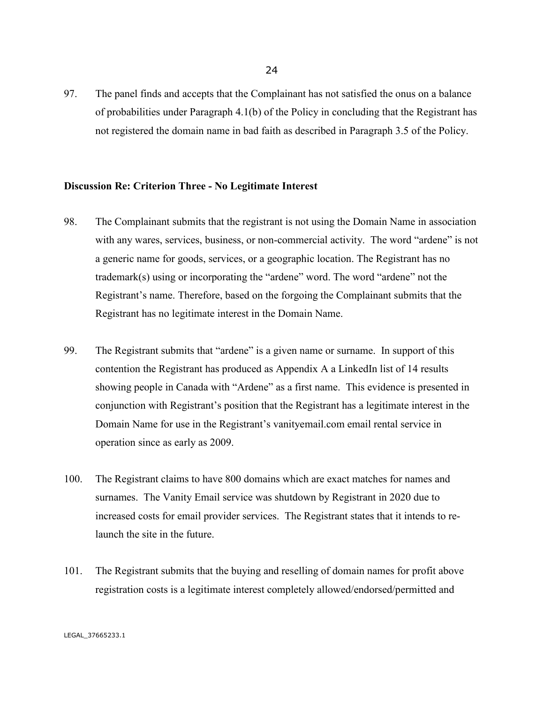97. The panel finds and accepts that the Complainant has not satisfied the onus on a balance of probabilities under Paragraph 4.1(b) of the Policy in concluding that the Registrant has not registered the domain name in bad faith as described in Paragraph 3.5 of the Policy.

#### **Discussion Re: Criterion Three - No Legitimate Interest**

- 98. The Complainant submits that the registrant is not using the Domain Name in association with any wares, services, business, or non-commercial activity. The word "ardene" is not a generic name for goods, services, or a geographic location. The Registrant has no trademark(s) using or incorporating the "ardene" word. The word "ardene" not the Registrant's name. Therefore, based on the forgoing the Complainant submits that the Registrant has no legitimate interest in the Domain Name.
- 99. The Registrant submits that "ardene" is a given name or surname. In support of this contention the Registrant has produced as Appendix A a LinkedIn list of 14 results showing people in Canada with "Ardene" as a first name. This evidence is presented in conjunction with Registrant's position that the Registrant has a legitimate interest in the Domain Name for use in the Registrant's vanityemail.com email rental service in operation since as early as 2009.
- 100. The Registrant claims to have 800 domains which are exact matches for names and surnames. The Vanity Email service was shutdown by Registrant in 2020 due to increased costs for email provider services. The Registrant states that it intends to relaunch the site in the future.
- 101. The Registrant submits that the buying and reselling of domain names for profit above registration costs is a legitimate interest completely allowed/endorsed/permitted and